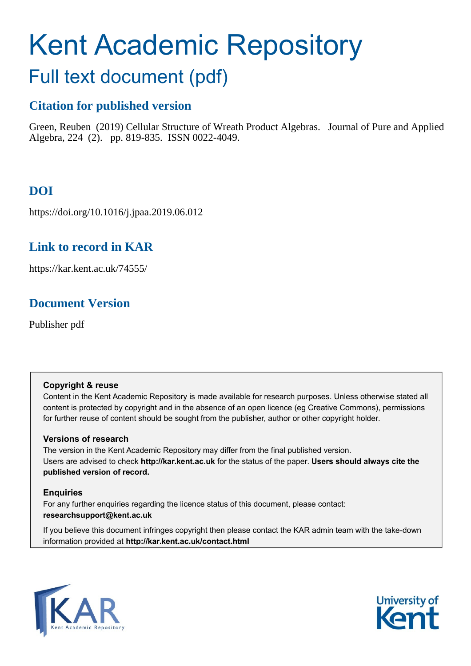# Kent Academic Repository

## Full text document (pdf)

## **Citation for published version**

Green, Reuben (2019) Cellular Structure of Wreath Product Algebras. Journal of Pure and Applied Algebra, 224 (2). pp. 819-835. ISSN 0022-4049.

## **DOI**

https://doi.org/10.1016/j.jpaa.2019.06.012

## **Link to record in KAR**

https://kar.kent.ac.uk/74555/

## **Document Version**

Publisher pdf

#### **Copyright & reuse**

Content in the Kent Academic Repository is made available for research purposes. Unless otherwise stated all content is protected by copyright and in the absence of an open licence (eg Creative Commons), permissions for further reuse of content should be sought from the publisher, author or other copyright holder.

#### **Versions of research**

The version in the Kent Academic Repository may differ from the final published version. Users are advised to check **http://kar.kent.ac.uk** for the status of the paper. **Users should always cite the published version of record.**

#### **Enquiries**

For any further enquiries regarding the licence status of this document, please contact: **researchsupport@kent.ac.uk**

If you believe this document infringes copyright then please contact the KAR admin team with the take-down information provided at **http://kar.kent.ac.uk/contact.html**



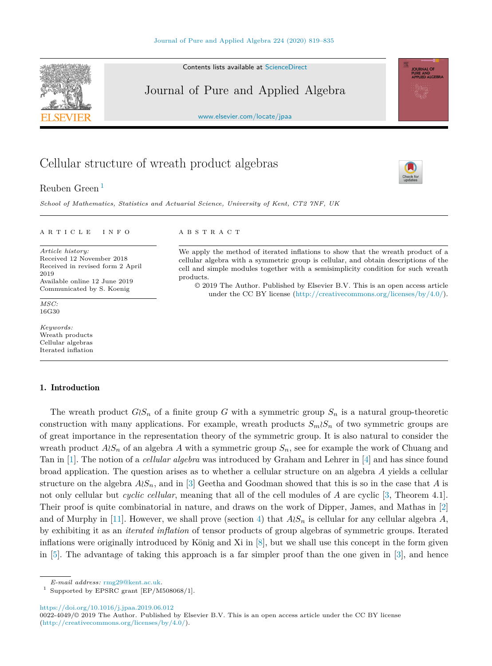Contents lists available at [ScienceDirect](http://www.ScienceDirect.com/)

### Journal of Pure and Applied Algebra

[www.elsevier.com/locate/jpaa](http://www.elsevier.com/locate/jpaa)

## Cellular structure of wreath product algebras

Reuben Green <sup>1</sup>

*School of Mathematics, Statistics and Actuarial Science, University of Kent, CT2 7NF, UK*

A R T I C L E I N F O A B S T R A C T

*Article history:* Received 12 November 2018 Received in revised form 2 April 2019 Available online 12 June 2019 Communicated by S. Koenig

*MSC:* 16G30

*Keywords:* Wreath products Cellular algebras Iterated inflation

#### 1. Introduction

The wreath product  $G(S_n)$  of a finite group *G* with a symmetric group  $S_n$  is a natural group-theoretic construction with many applications. For example, wreath products  $S_m \wr S_n$  of two symmetric groups are of great importance in the representation theory of the symmetric group. It is also natural to consider the wreath product  $A \wr S_n$  of an algebra A with a symmetric group  $S_n$ , see for example the work of Chuang and Tan in [1]. The notion of a *cellular algebra* was introduced by Graham and Lehrer in [4] and has since found broad application. The question arises as to whether a cellular structure on an algebra *A* yields a cellular structure on the algebra  $A \wr S_n$ , and in [3] Geetha and Goodman showed that this is so in the case that *A* is not only cellular but *cyclic cellular*, meaning that all of the cell modules of *A* are cyclic [3, Theorem 4.1]. Their proof is quite combinatorial in nature, and draws on the work of Dipper, James, and Mathas in [2] and of Murphy in [11]. However, we shall prove (section 4) that  $A \wr S_n$  is cellular for any cellular algebra  $A$ , by exhibiting it as an *iterated inflation* of tensor products of group algebras of symmetric groups. Iterated inflations were originally introduced by König and Xi in [8], but we shall use this concept in the form given in [5]. The advantage of taking this approach is a far simpler proof than the one given in [3], and hence

*E-mail address:* [rmg29@kent.ac.uk.](mailto:rmg29@kent.ac.uk)

 $^{\rm 1}$  Supported by EPSRC grant [EP/M508068/1].

<https://doi.org/10.1016/j.jpaa.2019.06.012>

0022-4049/© 2019 The Author. Published by Elsevier B.V. This is an open access article under the CC BY license [\(http://creativecommons.org/licenses/by/4.0/](http://creativecommons.org/licenses/by/4.0/)).



We apply the method of iterated inflations to show that the wreath product of a cellular algebra with a symmetric group is cellular, and obtain descriptions of the cell and simple modules together with a semisimplicity condition for such wreath products.

© 2019 The Author. Published by Elsevier B.V. This is an open access article under the CC BY license [\(http://creativecommons.org/licenses/by/4.0/](http://creativecommons.org/licenses/by/4.0/)).





**JOURNAL OF PURE AND<br>APPLIED ALGEBRA**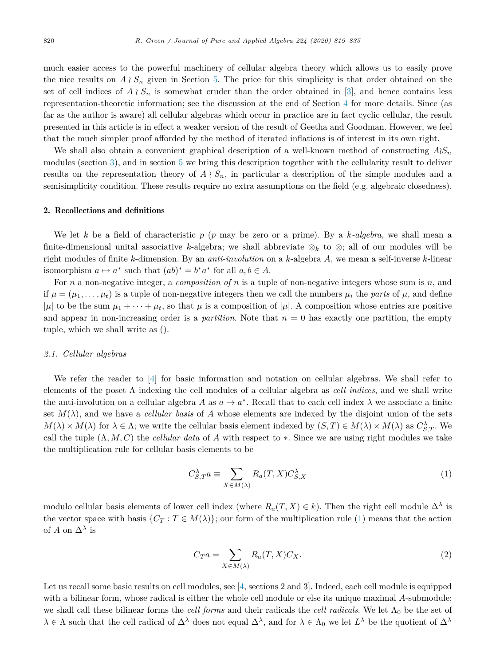much easier access to the powerful machinery of cellular algebra theory which allows us to easily prove the nice results on  $A \nvert S_n$  given in Section 5. The price for this simplicity is that order obtained on the set of cell indices of  $A \nvert S_n$  is somewhat cruder than the order obtained in [3], and hence contains less representation-theoretic information; see the discussion at the end of Section 4 for more details. Since (as far as the author is aware) all cellular algebras which occur in practice are in fact cyclic cellular, the result presented in this article is in effect a weaker version of the result of Geetha and Goodman. However, we feel that the much simpler proof afforded by the method of iterated inflations is of interest in its own right.

We shall also obtain a convenient graphical description of a well-known method of constructing  $A \wr S_n$ modules (section 3), and in section 5 we bring this description together with the cellularity result to deliver results on the representation theory of  $A \wr S_n$ , in particular a description of the simple modules and a semisimplicity condition. These results require no extra assumptions on the field (e.g. algebraic closedness).

#### 2. Recollections and definitions

We let *k* be a field of characteristic *p* (*p* may be zero or a prime). By a *k-algebra*, we shall mean a finite-dimensional unital associative *k*-algebra; we shall abbreviate ⊗*<sup>k</sup>* to ⊗; all of our modules will be right modules of finite *k*-dimension. By an *anti-involution* on a *k*-algebra *A*, we mean a self-inverse *k*-linear isomorphism  $a \mapsto a^*$  such that  $(ab)^* = b^*a^*$  for all  $a, b \in A$ .

For *n* a non-negative integer, a *composition of n* is a tuple of non-negative integers whose sum is *n*, and if  $\mu = (\mu_1, \ldots, \mu_t)$  is a tuple of non-negative integers then we call the numbers  $\mu_i$  the parts of  $\mu$ , and define  $|\mu|$  to be the sum  $\mu_1 + \cdots + \mu_t$ , so that  $\mu$  is a composition of  $|\mu|$ . A composition whose entries are positive and appear in non-increasing order is a *partition*. Note that  $n = 0$  has exactly one partition, the empty tuple, which we shall write as ().

#### *2.1. Cellular algebras*

We refer the reader to [4] for basic information and notation on cellular algebras. We shall refer to elements of the poset Λ indexing the cell modules of a cellular algebra as *cell indices*, and we shall write the anti-involution on a cellular algebra A as  $a \mapsto a^*$ . Recall that to each cell index  $\lambda$  we associate a finite set  $M(\lambda)$ , and we have a *cellular basis* of A whose elements are indexed by the disjoint union of the sets  $M(\lambda) \times M(\lambda)$  for  $\lambda \in \Lambda$ ; we write the cellular basis element indexed by  $(S, T) \in M(\lambda) \times M(\lambda)$  as  $C_{S,T}^{\lambda}$ . We call the tuple  $(\Lambda, M, C)$  the *cellular data* of *A* with respect to  $*$ . Since we are using right modules we take the multiplication rule for cellular basis elements to be

$$
C_{S,T}^{\lambda}a \equiv \sum_{X \in M(\lambda)} R_a(T,X) C_{S,X}^{\lambda} \tag{1}
$$

modulo cellular basis elements of lower cell index (where  $R_a(T, X) \in k$ ). Then the right cell module  $\Delta^{\lambda}$  is the vector space with basis  $\{C_T : T \in M(\lambda)\}\$ ; our form of the multiplication rule (1) means that the action of *A* on  $\Delta^{\lambda}$  is

$$
C_T a = \sum_{X \in M(\lambda)} R_a(T, X) C_X. \tag{2}
$$

Let us recall some basic results on cell modules, see [4, sections 2 and 3]. Indeed, each cell module is equipped with a bilinear form, whose radical is either the whole cell module or else its unique maximal A-submodule; we shall call these bilinear forms the *cell forms* and their radicals the *cell radicals*. We let  $\Lambda_0$  be the set of  $\lambda \in \Lambda$  such that the cell radical of  $\Delta^{\lambda}$  does not equal  $\Delta^{\lambda}$ , and for  $\lambda \in \Lambda_0$  we let  $L^{\lambda}$  be the quotient of  $\Delta^{\lambda}$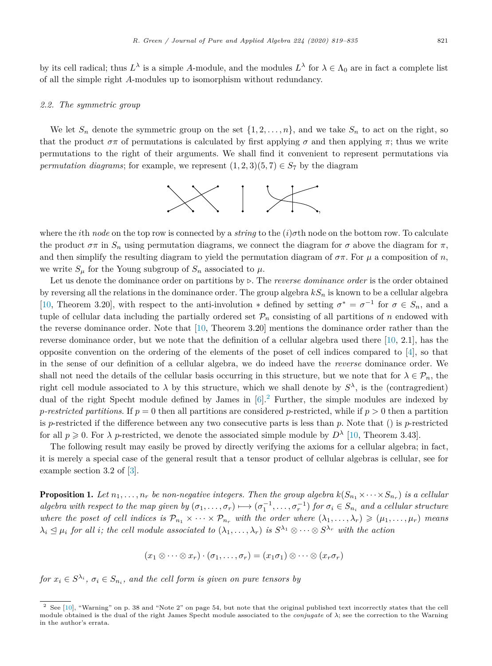by its cell radical; thus  $L^{\lambda}$  is a simple *A*-module, and the modules  $L^{\lambda}$  for  $\lambda \in \Lambda_0$  are in fact a complete list of all the simple right *A*-modules up to isomorphism without redundancy.

#### *2.2. The symmetric group*

We let  $S_n$  denote the symmetric group on the set  $\{1, 2, \ldots, n\}$ , and we take  $S_n$  to act on the right, so that the product  $\sigma \pi$  of permutations is calculated by first applying  $\sigma$  and then applying  $\pi$ ; thus we write permutations to the right of their arguments. We shall find it convenient to represent permutations via *permutation diagrams*; for example, we represent  $(1, 2, 3)(5, 7) \in S_7$  by the diagram



where the *i*th *node* on the top row is connected by a *string* to the (*i*)*σ*th node on the bottom row. To calculate the product  $\sigma \pi$  in  $S_n$  using permutation diagrams, we connect the diagram for  $\sigma$  above the diagram for  $\pi$ , and then simplify the resulting diagram to yield the permutation diagram of  $\sigma\pi$ . For  $\mu$  a composition of *n*, we write  $S_\mu$  for the Young subgroup of  $S_n$  associated to  $\mu$ .

Let us denote the dominance order on partitions by  $\triangleright$ . The *reverse dominance order* is the order obtained by reversing all the relations in the dominance order. The group algebra  $kS_n$  is known to be a cellular algebra [10, Theorem 3.20], with respect to the anti-involution  $*$  defined by setting  $\sigma^* = \sigma^{-1}$  for  $\sigma \in S_n$ , and a tuple of cellular data including the partially ordered set  $\mathcal{P}_n$  consisting of all partitions of *n* endowed with the reverse dominance order. Note that [10, Theorem 3.20] mentions the dominance order rather than the reverse dominance order, but we note that the definition of a cellular algebra used there [10, 2.1], has the opposite convention on the ordering of the elements of the poset of cell indices compared to  $[4]$ , so that in the sense of our definition of a cellular algebra, we do indeed have the *reverse* dominance order. We shall not need the details of the cellular basis occurring in this structure, but we note that for  $\lambda \in \mathcal{P}_n$ , the right cell module associated to  $\lambda$  by this structure, which we shall denote by  $S^{\lambda}$ , is the (contragredient) dual of the right Specht module defined by James in  $[6]$ .<sup>2</sup> Further, the simple modules are indexed by *p*-restricted partitions. If  $p = 0$  then all partitions are considered *p*-restricted, while if  $p > 0$  then a partition is *p*-restricted if the difference between any two consecutive parts is less than *p*. Note that () is *p*-restricted for all  $p \ge 0$ . For  $\lambda$  *p*-restricted, we denote the associated simple module by  $D^{\lambda}$  [10, Theorem 3.43].

The following result may easily be proved by directly verifying the axioms for a cellular algebra; in fact, it is merely a special case of the general result that a tensor product of cellular algebras is cellular, see for example section 3.2 of [3].

**Proposition 1.** Let  $n_1, \ldots, n_r$  be non-negative integers. Then the group algebra  $k(S_{n_1} \times \cdots \times S_{n_r})$  is a cellular algebra with respect to the map given by  $(\sigma_1,\ldots,\sigma_r)\mapsto (\sigma_1^{-1},\ldots,\sigma_r^{-1})$  for  $\sigma_i\in S_{n_i}$  and a cellular structure where the poset of cell indices is  $\mathcal{P}_{n_1} \times \cdots \times \mathcal{P}_{n_r}$  with the order where  $(\lambda_1,\ldots,\lambda_r) \geq (\mu_1,\ldots,\mu_r)$  means  $\lambda_i \leq \mu_i$  for all i; the cell module associated to  $(\lambda_1, \ldots, \lambda_r)$  is  $S^{\lambda_1} \otimes \cdots \otimes S^{\lambda_r}$  with the action

$$
(x_1 \otimes \cdots \otimes x_r) \cdot (\sigma_1, \ldots, \sigma_r) = (x_1 \sigma_1) \otimes \cdots \otimes (x_r \sigma_r)
$$

for  $x_i \in S^{\lambda_i}$ ,  $\sigma_i \in S_{n_i}$ , and the cell form is given on pure tensors by

 $2$  See [10], "Warning" on p. 38 and "Note 2" on page 54, but note that the original published text incorrectly states that the cell module obtained is the dual of the right James Specht module associated to the *conjugate* of *λ*; see the correction to the Warning in the author's errata.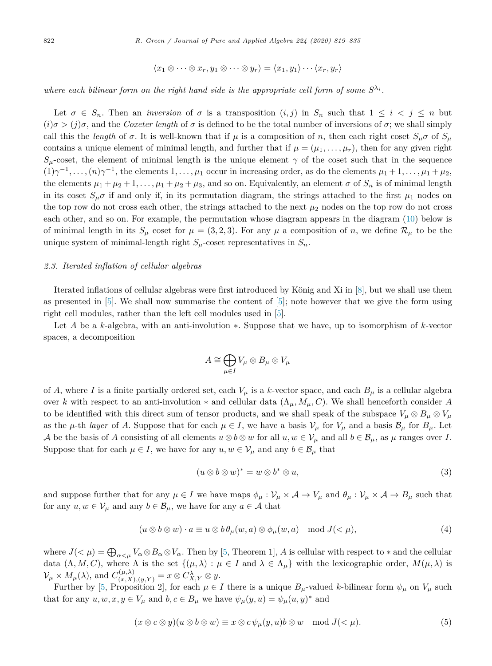$$
\langle x_1 \otimes \cdots \otimes x_r, y_1 \otimes \cdots \otimes y_r \rangle = \langle x_1, y_1 \rangle \cdots \langle x_r, y_r \rangle
$$

where each bilinear form on the right hand side is the appropriate cell form of some  $S^{\lambda_i}$ .

Let  $\sigma \in S_n$ . Then an *inversion* of  $\sigma$  is a transposition  $(i, j)$  in  $S_n$  such that  $1 \leq i \leq j \leq n$  but  $(i)\sigma$  >  $(j)\sigma$ , and the *Coxeter length* of  $\sigma$  is defined to be the total number of inversions of  $\sigma$ ; we shall simply call this the *length* of  $\sigma$ . It is well-known that if  $\mu$  is a composition of *n*, then each right coset  $S_{\mu}\sigma$  of  $S_{\mu}$ contains a unique element of minimal length, and further that if  $\mu = (\mu_1, \ldots, \mu_r)$ , then for any given right  $S_\mu$ -coset, the element of minimal length is the unique element  $\gamma$  of the coset such that in the sequence  $(1)\gamma^{-1}, \ldots, (n)\gamma^{-1}$ , the elements  $1, \ldots, \mu_1$  occur in increasing order, as do the elements  $\mu_1 + 1, \ldots, \mu_1 + \mu_2$ , the elements  $\mu_1 + \mu_2 + 1, \ldots, \mu_1 + \mu_2 + \mu_3$ , and so on. Equivalently, an element  $\sigma$  of  $S_n$  is of minimal length in its coset  $S_\mu \sigma$  if and only if, in its permutation diagram, the strings attached to the first  $\mu_1$  nodes on the top row do not cross each other, the strings attached to the next  $\mu_2$  nodes on the top row do not cross each other, and so on. For example, the permutation whose diagram appears in the diagram (10) below is of minimal length in its  $S_\mu$  coset for  $\mu = (3, 2, 3)$ . For any  $\mu$  a composition of *n*, we define  $\mathcal{R}_\mu$  to be the unique system of minimal-length right  $S_\mu$ -coset representatives in  $S_n$ .

#### *2.3. Iterated inflation of cellular algebras*

Iterated inflations of cellular algebras were first introduced by König and Xi in [8], but we shall use them as presented in [5]. We shall now summarise the content of [5]; note however that we give the form using right cell modules, rather than the left cell modules used in [5].

Let *A* be a *k*-algebra, with an anti-involution ∗. Suppose that we have, up to isomorphism of *k*-vector spaces, a decomposition

$$
A \cong \bigoplus_{\mu \in I} V_{\mu} \otimes B_{\mu} \otimes V_{\mu}
$$

of *A*, where *I* is a finite partially ordered set, each  $V_\mu$  is a *k*-vector space, and each  $B_\mu$  is a cellular algebra over *k* with respect to an anti-involution  $*$  and cellular data  $(\Lambda_{\mu}, M_{\mu}, C)$ . We shall henceforth consider *A* to be identified with this direct sum of tensor products, and we shall speak of the subspace  $V_\mu \otimes B_\mu \otimes V_\mu$ as the *μ*-th *layer* of *A*. Suppose that for each  $\mu \in I$ , we have a basis  $\mathcal{V}_{\mu}$  for  $V_{\mu}$  and a basis  $\mathcal{B}_{\mu}$  for  $B_{\mu}$ . Let A be the basis of A consisting of all elements  $u \otimes b \otimes w$  for all  $u, w \in V_\mu$  and all  $b \in \mathcal{B}_\mu$ , as  $\mu$  ranges over *I*. Suppose that for each  $\mu \in I$ , we have for any  $u, w \in V_{\mu}$  and any  $b \in \mathcal{B}_{\mu}$  that

$$
(u \otimes b \otimes w)^* = w \otimes b^* \otimes u,\tag{3}
$$

and suppose further that for any  $\mu \in I$  we have maps  $\phi_{\mu} : \mathcal{V}_{\mu} \times \mathcal{A} \to V_{\mu}$  and  $\theta_{\mu} : \mathcal{V}_{\mu} \times \mathcal{A} \to B_{\mu}$  such that for any  $u, w \in V_\mu$  and any  $b \in \mathcal{B}_\mu$ , we have for any  $a \in \mathcal{A}$  that

$$
(u \otimes b \otimes w) \cdot a \equiv u \otimes b \theta_{\mu}(w, a) \otimes \phi_{\mu}(w, a) \mod J(<\mu), \tag{4}
$$

where  $J( $\mu$ ) =  $\bigoplus_{\alpha<\mu}V_{\alpha}\otimes B_{\alpha}\otimes V_{\alpha}$ . Then by [5, Theorem 1], A is cellular with respect to  $*$  and the cellular$ data  $(\Lambda, M, C)$ , where  $\Lambda$  is the set  $\{(\mu, \lambda) : \mu \in I \text{ and } \lambda \in \Lambda_{\mu}\}\$  with the lexicographic order,  $M(\mu, \lambda)$  is  $\mathcal{V}_{\mu} \times M_{\mu}(\lambda)$ , and  $C_{(x,X),(y,Y)}^{(\mu,\lambda)} = x \otimes C_{X,Y}^{\lambda} \otimes y$ .

Further by [5, Proposition 2], for each  $\mu \in I$  there is a unique  $B_{\mu}$ -valued *k*-bilinear form  $\psi_{\mu}$  on  $V_{\mu}$  such that for any  $u, w, x, y \in V_\mu$  and  $b, c \in B_\mu$  we have  $\psi_\mu(y, u) = \psi_\mu(u, y)^*$  and

$$
(x \otimes c \otimes y)(u \otimes b \otimes w) \equiv x \otimes c \psi_{\mu}(y, u)b \otimes w \mod J(< \mu).
$$
 (5)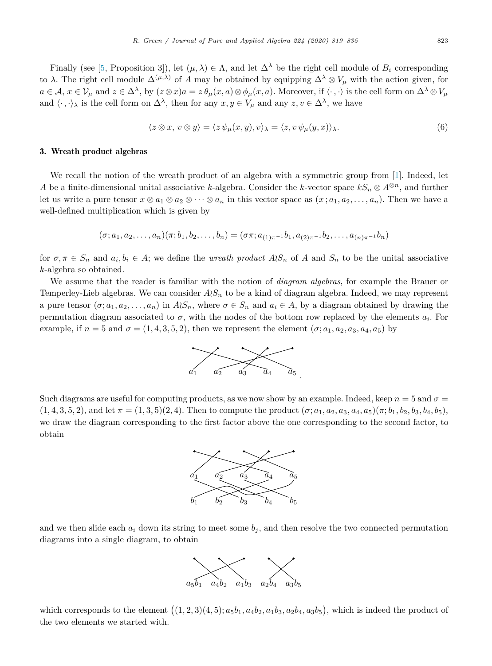Finally (see [5, Proposition 3]), let  $(\mu, \lambda) \in \Lambda$ , and let  $\Delta^{\lambda}$  be the right cell module of  $B_i$  corresponding to  $\lambda$ . The right cell module  $\Delta^{(\mu,\lambda)}$  of *A* may be obtained by equipping  $\Delta^{\lambda} \otimes V_{\mu}$  with the action given, for  $a \in \mathcal{A}, x \in \mathcal{V}_{\mu}$  and  $z \in \Delta^{\lambda}$ , by  $(z \otimes x)a = z \theta_{\mu}(x, a) \otimes \phi_{\mu}(x, a)$ . Moreover, if  $\langle \cdot, \cdot \rangle$  is the cell form on  $\Delta^{\lambda} \otimes V_{\mu}$ and  $\langle \cdot, \cdot \rangle_{\lambda}$  is the cell form on  $\Delta^{\lambda}$ , then for any  $x, y \in V_{\mu}$  and any  $z, v \in \Delta^{\lambda}$ , we have

$$
\langle z \otimes x, v \otimes y \rangle = \langle z \psi_{\mu}(x, y), v \rangle_{\lambda} = \langle z, v \psi_{\mu}(y, x) \rangle_{\lambda}.
$$
 (6)

#### 3. Wreath product algebras

We recall the notion of the wreath product of an algebra with a symmetric group from [1]. Indeed, let *A* be a finite-dimensional unital associative *k*-algebra. Consider the *k*-vector space  $kS_n \otimes A^{\otimes n}$ , and further let us write a pure tensor  $x \otimes a_1 \otimes a_2 \otimes \cdots \otimes a_n$  in this vector space as  $(x; a_1, a_2, \ldots, a_n)$ . Then we have a well-defined multiplication which is given by

$$
(\sigma; a_1, a_2, \ldots, a_n)(\pi; b_1, b_2, \ldots, b_n) = (\sigma \pi; a_{(1)\pi^{-1}}b_1, a_{(2)\pi^{-1}}b_2, \ldots, a_{(n)\pi^{-1}}b_n)
$$

for  $\sigma, \pi \in S_n$  and  $a_i, b_i \in A$ ; we define the *wreath product*  $A \wr S_n$  of A and  $S_n$  to be the unital associative *k*-algebra so obtained.

We assume that the reader is familiar with the notion of *diagram algebras*, for example the Brauer or Temperley-Lieb algebras. We can consider  $A \wr S_n$  to be a kind of diagram algebra. Indeed, we may represent a pure tensor  $(\sigma; a_1, a_2, \ldots, a_n)$  in  $A \wr S_n$ , where  $\sigma \in S_n$  and  $a_i \in A$ , by a diagram obtained by drawing the permutation diagram associated to  $\sigma$ , with the nodes of the bottom row replaced by the elements  $a_i$ . For example, if  $n = 5$  and  $\sigma = (1, 4, 3, 5, 2)$ , then we represent the element  $(\sigma; a_1, a_2, a_3, a_4, a_5)$  by



Such diagrams are useful for computing products, as we now show by an example. Indeed, keep  $n = 5$  and  $\sigma =$  $(1,4,3,5,2)$ , and let  $\pi = (1,3,5)(2,4)$ . Then to compute the product  $(\sigma; a_1, a_2, a_3, a_4, a_5)(\pi; b_1, b_2, b_3, b_4, b_5)$ . we draw the diagram corresponding to the first factor above the one corresponding to the second factor, to obtain



and we then slide each  $a_i$  down its string to meet some  $b_j$ , and then resolve the two connected permutation diagrams into a single diagram, to obtain



which corresponds to the element  $((1,2,3)(4,5); a_5b_1, a_4b_2, a_1b_3, a_2b_4, a_3b_5)$ , which is indeed the product of the two elements we started with.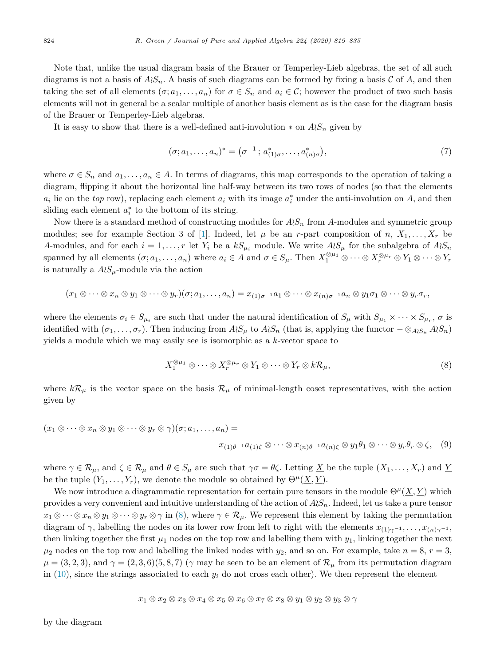Note that, unlike the usual diagram basis of the Brauer or Temperley-Lieb algebras, the set of all such diagrams is not a basis of  $A \wr S_n$ . A basis of such diagrams can be formed by fixing a basis C of A, and then taking the set of all elements  $(\sigma; a_1, \ldots, a_n)$  for  $\sigma \in S_n$  and  $a_i \in \mathcal{C}$ ; however the product of two such basis elements will not in general be a scalar multiple of another basis element as is the case for the diagram basis of the Brauer or Temperley-Lieb algebras.

It is easy to show that there is a well-defined anti-involution  $*$  on  $A \wr S_n$  given by

$$
(\sigma; a_1, \dots, a_n)^* = (\sigma^{-1}; a^*_{(1)\sigma}, \dots, a^*_{(n)\sigma}), \tag{7}
$$

where  $\sigma \in S_n$  and  $a_1, \ldots, a_n \in A$ . In terms of diagrams, this map corresponds to the operation of taking a diagram, flipping it about the horizontal line half-way between its two rows of nodes (so that the elements  $a_i$  lie on the *top* row), replacing each element  $a_i$  with its image  $a_i^*$  under the anti-involution on *A*, and then sliding each element  $a_i^*$  to the bottom of its string.

Now there is a standard method of constructing modules for  $A \wr S_n$  from *A*-modules and symmetric group modules; see for example Section 3 of [1]. Indeed, let  $\mu$  be an *r*-part composition of *n*,  $X_1, \ldots, X_r$  be *A*-modules, and for each  $i = 1, \ldots, r$  let  $Y_i$  be a  $kS_{\mu_i}$  module. We write  $A \wr S_{\mu}$  for the subalgebra of  $A \wr S_n$ spanned by all elements  $(\sigma; a_1, \ldots, a_n)$  where  $a_i \in A$  and  $\sigma \in S_\mu$ . Then  $X_1^{\otimes \mu_1} \otimes \cdots \otimes X_r^{\otimes \mu_r} \otimes Y_1 \otimes \cdots \otimes Y_r$ is naturally a  $A \wr S_\mu$ -module via the action

$$
(x_1 \otimes \cdots \otimes x_n \otimes y_1 \otimes \cdots \otimes y_r)(\sigma; a_1, \ldots, a_n) = x_{(1)\sigma^{-1}}a_1 \otimes \cdots \otimes x_{(n)\sigma^{-1}}a_n \otimes y_1\sigma_1 \otimes \cdots \otimes y_r\sigma_r,
$$

where the elements  $\sigma_i \in S_{\mu_i}$  are such that under the natural identification of  $S_{\mu}$  with  $S_{\mu_1} \times \cdots \times S_{\mu_r}$ ,  $\sigma$  is identified with  $(\sigma_1,\ldots,\sigma_r)$ . Then inducing from  $A\wr S_\mu$  to  $A\wr S_n$  (that is, applying the functor  $-\otimes_{A\wr S_\mu} A\wr S_n$ ) yields a module which we may easily see is isomorphic as a *k*-vector space to

$$
X_1^{\otimes \mu_1} \otimes \cdots \otimes X_r^{\otimes \mu_r} \otimes Y_1 \otimes \cdots \otimes Y_r \otimes k \mathcal{R}_\mu,
$$
\n
$$
(8)
$$

where  $k\mathcal{R}_{\mu}$  is the vector space on the basis  $\mathcal{R}_{\mu}$  of minimal-length coset representatives, with the action given by

$$
(x_1 \otimes \cdots \otimes x_n \otimes y_1 \otimes \cdots \otimes y_r \otimes \gamma)(\sigma; a_1, \ldots, a_n) =
$$
  

$$
x_{(1)\theta^{-1}}a_{(1)\zeta} \otimes \cdots \otimes x_{(n)\theta^{-1}}a_{(n)\zeta} \otimes y_1\theta_1 \otimes \cdots \otimes y_r\theta_r \otimes \zeta, \quad (9)
$$

where  $\gamma \in \mathcal{R}_{\mu}$ , and  $\zeta \in \mathcal{R}_{\mu}$  and  $\theta \in S_{\mu}$  are such that  $\gamma \sigma = \theta \zeta$ . Letting <u>X</u> be the tuple  $(X_1, \ldots, X_r)$  and <u>Y</u> be the tuple  $(Y_1, \ldots, Y_r)$ , we denote the module so obtained by  $\Theta^{\mu}(\underline{X}, \underline{Y})$ .

We now introduce a diagrammatic representation for certain pure tensors in the module  $\Theta^{\mu}(\underline{X}, \underline{Y})$  which provides a very convenient and intuitive understanding of the action of  $A \wr S_n$ . Indeed, let us take a pure tensor  $x_1 \otimes \cdots \otimes x_n \otimes y_1 \otimes \cdots \otimes y_r \otimes \gamma$  in (8), where  $\gamma \in \mathcal{R}_\mu$ . We represent this element by taking the permutation diagram of  $\gamma$ , labelling the nodes on its lower row from left to right with the elements  $x_{(1)\gamma^{-1}}, \ldots, x_{(n)\gamma^{-1}}$ , then linking together the first  $\mu_1$  nodes on the top row and labelling them with  $y_1$ , linking together the next  $\mu_2$  nodes on the top row and labelling the linked nodes with  $y_2$ , and so on. For example, take  $n = 8$ ,  $r = 3$ ,  $\mu = (3, 2, 3)$ , and  $\gamma = (2, 3, 6)(5, 8, 7)$  ( $\gamma$  may be seen to be an element of  $\mathcal{R}_{\mu}$  from its permutation diagram in  $(10)$ , since the strings associated to each  $y_i$  do not cross each other). We then represent the element

$$
x_1 \otimes x_2 \otimes x_3 \otimes x_4 \otimes x_5 \otimes x_6 \otimes x_7 \otimes x_8 \otimes y_1 \otimes y_2 \otimes y_3 \otimes \gamma
$$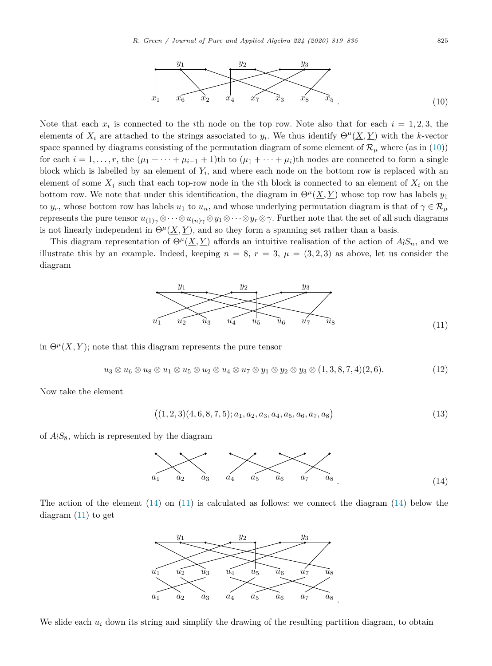

Note that each  $x_i$  is connected to the *i*th node on the top row. Note also that for each  $i = 1, 2, 3$ , the elements of  $X_i$  are attached to the strings associated to  $y_i$ . We thus identify  $\Theta^{\mu}(\underline{X}, \underline{Y})$  with the *k*-vector space spanned by diagrams consisting of the permutation diagram of some element of  $\mathcal{R}_{\mu}$  where (as in (10)) for each  $i = 1, \ldots, r$ , the  $(\mu_1 + \cdots + \mu_{i-1} + 1)$ th to  $(\mu_1 + \cdots + \mu_i)$ th nodes are connected to form a single block which is labelled by an element of  $Y_i$ , and where each node on the bottom row is replaced with an element of some  $X_j$  such that each top-row node in the *i*th block is connected to an element of  $X_i$  on the bottom row. We note that under this identification, the diagram in  $\Theta^{\mu}(\underline{X}, \underline{Y})$  whose top row has labels  $y_1$ to  $y_r$ , whose bottom row has labels  $u_1$  to  $u_n$ , and whose underlying permutation diagram is that of  $\gamma \in \mathcal{R}_\mu$ represents the pure tensor  $u_{(1)}\gamma \otimes \cdots \otimes u_{(n)}\gamma \otimes y_1 \otimes \cdots \otimes y_r \otimes \gamma$ . Further note that the set of all such diagrams is not linearly independent in  $\Theta^{\mu}(\underline{X}, \underline{Y})$ , and so they form a spanning set rather than a basis.

This diagram representation of  $\Theta^{\mu}(\underline{X}, \underline{Y})$  affords an intuitive realisation of the action of  $A \wr S_n$ , and we illustrate this by an example. Indeed, keeping  $n = 8$ ,  $r = 3$ ,  $\mu = (3, 2, 3)$  as above, let us consider the diagram



in  $\Theta^{\mu}(\underline{X}, \underline{Y})$ ; note that this diagram represents the pure tensor

$$
u_3 \otimes u_6 \otimes u_8 \otimes u_1 \otimes u_5 \otimes u_2 \otimes u_4 \otimes u_7 \otimes y_1 \otimes y_2 \otimes y_3 \otimes (1,3,8,7,4)(2,6). \tag{12}
$$

Now take the element

$$
((1,2,3)(4,6,8,7,5);a_1,a_2,a_3,a_4,a_5,a_6,a_7,a_8)
$$
\n
$$
(13)
$$

of  $A \wr S_8$ , which is represented by the diagram



The action of the element  $(14)$  on  $(11)$  is calculated as follows: we connect the diagram  $(14)$  below the diagram (11) to get



We slide each  $u_i$  down its string and simplify the drawing of the resulting partition diagram, to obtain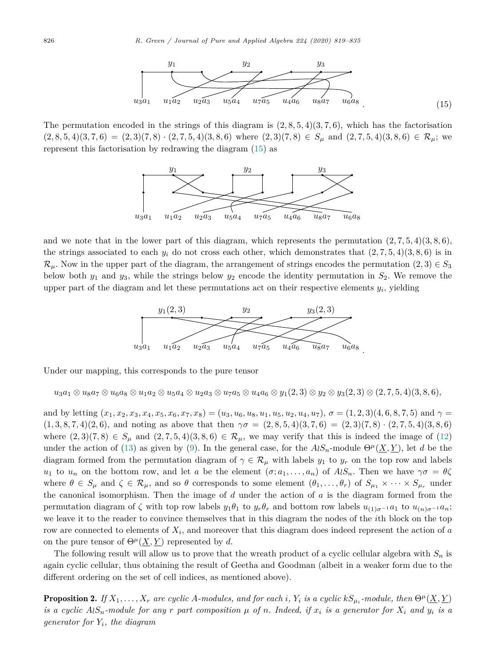

The permutation encoded in the strings of this diagram is  $(2, 8, 5, 4)(3, 7, 6)$ , which has the factorisation  $(2,8,5,4)(3,7,6) = (2,3)(7,8) \cdot (2,7,5,4)(3,8,6)$  where  $(2,3)(7,8) \in S_\mu$  and  $(2,7,5,4)(3,8,6) \in \mathcal{R}_\mu$ ; we represent this factorisation by redrawing the diagram (15) as



and we note that in the lower part of this diagram, which represents the permutation  $(2, 7, 5, 4)(3, 8, 6)$ , the strings associated to each  $y_i$  do not cross each other, which demonstrates that  $(2, 7, 5, 4)(3, 8, 6)$  is in  $\mathcal{R}_{\mu}$ . Now in the upper part of the diagram, the arrangement of strings encodes the permutation  $(2,3) \in S_3$ below both  $y_1$  and  $y_3$ , while the strings below  $y_2$  encode the identity permutation in  $S_2$ . We remove the upper part of the diagram and let these permutations act on their respective elements *yi*, yielding



Under our mapping, this corresponds to the pure tensor

 $u_3a_1 \otimes u_8a_7 \otimes u_6a_8 \otimes u_1a_2 \otimes u_5a_4 \otimes u_2a_3 \otimes u_7a_5 \otimes u_4a_6 \otimes y_1(2,3) \otimes y_2 \otimes y_3(2,3) \otimes (2,7,5,4)(3,8,6),$ 

and by letting  $(x_1, x_2, x_3, x_4, x_5, x_6, x_7, x_8) = (u_3, u_6, u_8, u_1, u_5, u_2, u_4, u_7), \sigma = (1, 2, 3)(4, 6, 8, 7, 5)$  and  $\gamma =$  $(1,3,8,7,4)(2,6)$ , and noting as above that then  $\gamma\sigma = (2,8,5,4)(3,7,6) = (2,3)(7,8)\cdot(2,7,5,4)(3,8,6)$ where  $(2,3)(7,8) \in S_\mu$  and  $(2,7,5,4)(3,8,6) \in \mathcal{R}_\mu$ , we may verify that this is indeed the image of (12) under the action of (13) as given by (9). In the general case, for the  $A \wr S_n$ -module  $\Theta^{\mu}(\underline{X}, \underline{Y})$ , let *d* be the diagram formed from the permutation diagram of  $\gamma \in \mathcal{R}_{\mu}$  with labels  $y_1$  to  $y_r$  on the top row and labels *u*<sub>1</sub> to *u<sub>n</sub>* on the bottom row, and let *a* be the element  $(\sigma; a_1, \ldots, a_n)$  of  $A \wr S_n$ . Then we have  $\gamma \sigma = \theta \zeta$ where  $\theta \in S_\mu$  and  $\zeta \in \mathcal{R}_\mu$ , and so  $\theta$  corresponds to some element  $(\theta_1, \ldots, \theta_r)$  of  $S_{\mu_1} \times \cdots \times S_{\mu_r}$  under the canonical isomorphism. Then the image of *d* under the action of *a* is the diagram formed from the permutation diagram of  $\zeta$  with top row labels  $y_1\theta_1$  to  $y_r\theta_r$  and bottom row labels  $u_{(1)\sigma^{-1}}a_1$  to  $u_{(n)\sigma^{-1}}a_n$ ; we leave it to the reader to convince themselves that in this diagram the nodes of the *i*th block on the top row are connected to elements of *Xi*, and moreover that this diagram does indeed represent the action of *a* on the pure tensor of  $\Theta^{\mu}(\underline{X}, \underline{Y})$  represented by *d*.

The following result will allow us to prove that the wreath product of a cyclic cellular algebra with *S<sup>n</sup>* is again cyclic cellular, thus obtaining the result of Geetha and Goodman (albeit in a weaker form due to the different ordering on the set of cell indices, as mentioned above).

**Proposition 2.** If  $X_1, \ldots, X_r$  are cyclic A-modules, and for each i,  $Y_i$  is a cyclic  $kS_{\mu_i}$ -module, then  $\Theta^{\mu}(X, Y)$ is a cyclic  $A \wr S_n$ -module for any r part composition  $\mu$  of n. Indeed, if  $x_i$  is a generator for  $X_i$  and  $y_i$  is a *generator for Yi, the diagram*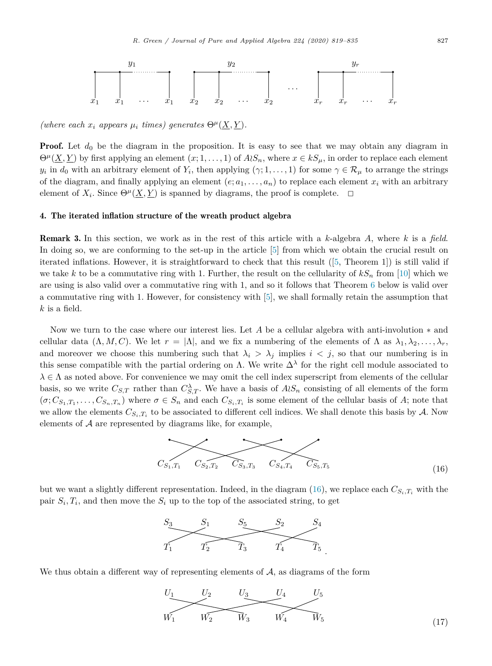

 $(mhere\ each\ x_i\ appears\ \mu_i\ times) \ generates\ \Theta^{\mu}(X, Y).$ 

**Proof.** Let  $d_0$  be the diagram in the proposition. It is easy to see that we may obtain any diagram in  $\Theta^{\mu}(\underline{X}, \underline{Y})$  by first applying an element  $(x; 1, \ldots, 1)$  of  $A \wr S_n$ , where  $x \in kS_{\mu}$ , in order to replace each element *y*<sub>*i*</sub> in *d*<sub>0</sub> with an arbitrary element of *Y*<sub>*i*</sub>, then applying  $(\gamma; 1, \ldots, 1)$  for some  $\gamma \in \mathcal{R}_{\mu}$  to arrange the strings of the diagram, and finally applying an element  $(e; a_1, \ldots, a_n)$  to replace each element  $x_i$  with an arbitrary element of  $X_i$ . Since  $\Theta^{\mu}(\underline{X}, \underline{Y})$  is spanned by diagrams, the proof is complete.  $\Box$ 

#### 4. The iterated inflation structure of the wreath product algebra

Remark 3. In this section, we work as in the rest of this article with a *k*-algebra *A*, where *k* is a *field*. In doing so, we are conforming to the set-up in the article [5] from which we obtain the crucial result on iterated inflations. However, it is straightforward to check that this result ([5, Theorem 1]) is still valid if we take *k* to be a commutative ring with 1. Further, the result on the cellularity of  $kS_n$  from [10] which we are using is also valid over a commutative ring with 1, and so it follows that Theorem 6 below is valid over a commutative ring with 1. However, for consistency with [5], we shall formally retain the assumption that *k* is a field.

Now we turn to the case where our interest lies. Let *A* be a cellular algebra with anti-involution ∗ and cellular data  $(\Lambda, M, C)$ . We let  $r = |\Lambda|$ , and we fix a numbering of the elements of  $\Lambda$  as  $\lambda_1, \lambda_2, \ldots, \lambda_r$ , and moreover we choose this numbering such that  $\lambda_i > \lambda_j$  implies  $i < j$ , so that our numbering is in this sense compatible with the partial ordering on  $\Lambda$ . We write  $\Delta^{\lambda}$  for the right cell module associated to  $\lambda \in \Lambda$  as noted above. For convenience we may omit the cell index superscript from elements of the cellular basis, so we write  $C_{S,T}$  rather than  $C_{S,T}^{\lambda}$ . We have a basis of  $A \wr S_n$  consisting of all elements of the form  $(\sigma; C_{S_1,T_1}, \ldots, C_{S_n,T_n})$  where  $\sigma \in S_n$  and each  $C_{S_i,T_i}$  is some element of the cellular basis of A; note that we allow the elements  $C_{S_i,T_i}$  to be associated to different cell indices. We shall denote this basis by  $A$ . Now elements of  $A$  are represented by diagrams like, for example,



but we want a slightly different representation. Indeed, in the diagram (16), we replace each  $C_{S_i,T_i}$  with the pair  $S_i, T_i$ , and then move the  $S_i$  up to the top of the associated string, to get



We thus obtain a different way of representing elements of A, as diagrams of the form

$$
U_1 \t\t U_2 \t\t U_3 \t\t U_4 \t\t U_5
$$
  
 
$$
W_1 \t\t W_2 \t\t W_3 \t\t W_4 \t\t W_5
$$
 (17)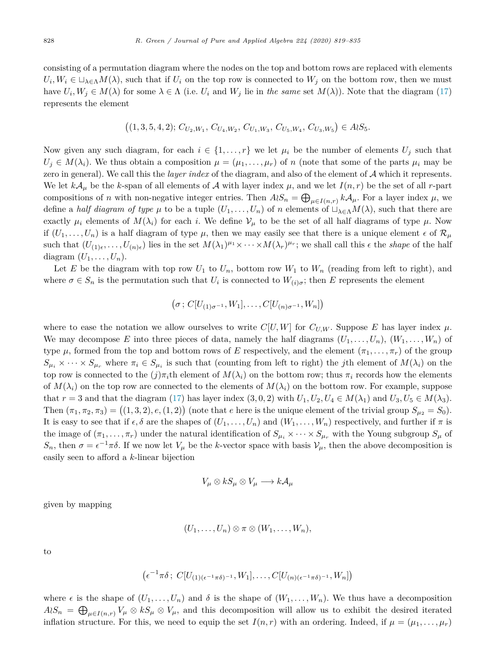consisting of a permutation diagram where the nodes on the top and bottom rows are replaced with elements  $U_i, W_i \in \Box_{\lambda \in \Lambda} M(\lambda)$ , such that if  $U_i$  on the top row is connected to  $W_j$  on the bottom row, then we must have  $U_i$ ,  $W_j \in M(\lambda)$  for some  $\lambda \in \Lambda$  (i.e.  $U_i$  and  $W_j$  lie in the same set  $M(\lambda)$ ). Note that the diagram (17) represents the element

$$
((1,3,5,4,2); C_{U_2,W_1}, C_{U_4,W_2}, C_{U_1,W_3}, C_{U_5,W_4}, C_{U_3,W_5}) \in A \wr S_5.
$$

Now given any such diagram, for each  $i \in \{1, \ldots, r\}$  we let  $\mu_i$  be the number of elements  $U_j$  such that  $U_j \in M(\lambda_i)$ . We thus obtain a composition  $\mu = (\mu_1, \ldots, \mu_r)$  of *n* (note that some of the parts  $\mu_i$  may be zero in general). We call this the *layer index* of the diagram, and also of the element of A which it represents. We let  $k\mathcal{A}_{\mu}$  be the *k*-span of all elements of  $\mathcal A$  with layer index  $\mu$ , and we let  $I(n,r)$  be the set of all *r*-part compositions of *n* with non-negative integer entries. Then  $A \wr S_n = \bigoplus_{\mu \in I(n,r)} k \mathcal{A}_{\mu}$ . For a layer index  $\mu$ , we define a *half* diagram of type  $\mu$  to be a tuple  $(U_1, \ldots, U_n)$  of *n* elements of  $\Box_{\lambda \in \Lambda} M(\lambda)$ , such that there are exactly  $\mu_i$  elements of  $M(\lambda_i)$  for each *i*. We define  $V_\mu$  to be the set of all half diagrams of type  $\mu$ . Now if  $(U_1, \ldots, U_n)$  is a half diagram of type  $\mu$ , then we may easily see that there is a unique element  $\epsilon$  of  $\mathcal{R}_{\mu}$ such that  $(U_{(1)\epsilon}, \ldots, U_{(n)\epsilon})$  lies in the set  $M(\lambda_1)^{\mu_1} \times \cdots \times M(\lambda_r)^{\mu_r}$ ; we shall call this  $\epsilon$  the *shape* of the half diagram  $(U_1, \ldots, U_n)$ .

Let E be the diagram with top row  $U_1$  to  $U_n$ , bottom row  $W_1$  to  $W_n$  (reading from left to right), and where  $\sigma \in S_n$  is the permutation such that  $U_i$  is connected to  $W_{(i)\sigma}$ ; then *E* represents the element

$$
(\sigma: C[U_{(1)\sigma^{-1}}, W_1], \ldots, C[U_{(n)\sigma^{-1}}, W_n])
$$

where to ease the notation we allow ourselves to write  $C[U, W]$  for  $C_{U,W}$ . Suppose E has layer index  $\mu$ . We may decompose E into three pieces of data, namely the half diagrams  $(U_1, \ldots, U_n)$ ,  $(W_1, \ldots, W_n)$  of type  $\mu$ , formed from the top and bottom rows of *E* respectively, and the element  $(\pi_1, \ldots, \pi_r)$  of the group  $S_{\mu_i} \times \cdots \times S_{\mu_r}$  where  $\pi_i \in S_{\mu_i}$  is such that (counting from left to right) the *j*th element of  $M(\lambda_i)$  on the top row is connected to the  $(j)\pi_i$ <sup>th</sup> element of  $M(\lambda_i)$  on the bottom row; thus  $\pi_i$  records how the elements of  $M(\lambda_i)$  on the top row are connected to the elements of  $M(\lambda_i)$  on the bottom row. For example, suppose that  $r = 3$  and that the diagram (17) has layer index (3, 0, 2) with  $U_1, U_2, U_4 \in M(\lambda_1)$  and  $U_3, U_5 \in M(\lambda_3)$ . Then  $(\pi_1, \pi_2, \pi_3) = ((1, 3, 2), e, (1, 2))$  (note that *e* here is the unique element of the trivial group  $S_{\mu_2} = S_0$ ). It is easy to see that if  $\epsilon, \delta$  are the shapes of  $(U_1, \ldots, U_n)$  and  $(W_1, \ldots, W_n)$  respectively, and further if  $\pi$  is the image of  $(\pi_1, \ldots, \pi_r)$  under the natural identification of  $S_{\mu_i} \times \cdots \times S_{\mu_r}$  with the Young subgroup  $S_{\mu}$  of *S<sub>n</sub>*, then  $σ = ε^{-1πδ}$ . If we now let  $V<sub>μ</sub>$  be the *k*-vector space with basis  $V<sub>μ</sub>$ , then the above decomposition is easily seen to afford a *k*-linear bijection

$$
V_{\mu} \otimes kS_{\mu} \otimes V_{\mu} \longrightarrow kA_{\mu}
$$

given by mapping

$$
(U_1,\ldots,U_n)\otimes \pi\otimes (W_1,\ldots,W_n),
$$

to

$$
(\epsilon^{-1}\pi\delta\,;\,C[U_{(1)(\epsilon^{-1}\pi\delta)^{-1}},W_1],\ldots,C[U_{(n)(\epsilon^{-1}\pi\delta)^{-1}},W_n])
$$

where  $\epsilon$  is the shape of  $(U_1, \ldots, U_n)$  and  $\delta$  is the shape of  $(W_1, \ldots, W_n)$ . We thus have a decomposition  $A \wr S_n = \bigoplus_{\mu \in I(n,r)} V_{\mu} \otimes kS_{\mu} \otimes V_{\mu}$ , and this decomposition will allow us to exhibit the desired iterated inflation structure. For this, we need to equip the set  $I(n,r)$  with an ordering. Indeed, if  $\mu = (\mu_1, \ldots, \mu_r)$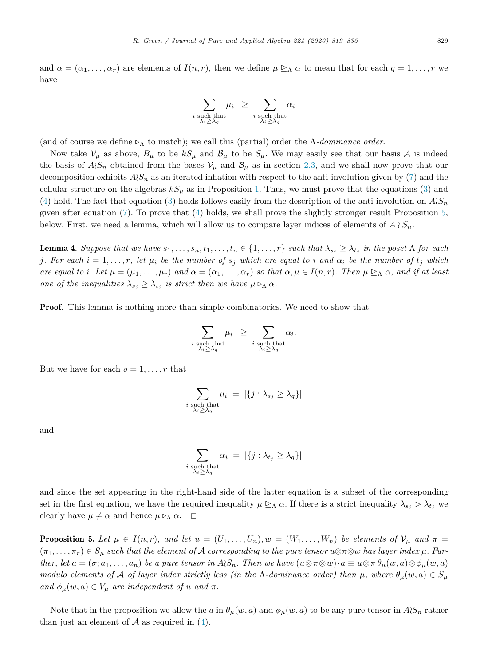and  $\alpha = (\alpha_1, \ldots, \alpha_r)$  are elements of  $I(n, r)$ , then we define  $\mu \geq_{\Lambda} \alpha$  to mean that for each  $q = 1, \ldots, r$  we have

$$
\sum_{\substack{i \text{ such that} \\ \lambda_i \geq \lambda_q}} \mu_i \geq \sum_{\substack{i \text{ such that} \\ \lambda_i \geq \lambda_q}} \alpha_i
$$

(and of course we define  $\rho_{\Lambda}$  to match); we call this (partial) order the  $\Lambda$ -dominance order.

Now take  $V_\mu$  as above,  $B_\mu$  to be  $kS_\mu$  and  $B_\mu$  to be  $S_\mu$ . We may easily see that our basis A is indeed the basis of  $A \wr S_n$  obtained from the bases  $V_\mu$  and  $B_\mu$  as in section 2.3, and we shall now prove that our decomposition exhibits  $A \wr S_n$  as an iterated inflation with respect to the anti-involution given by (7) and the cellular structure on the algebras  $kS_\mu$  as in Proposition 1. Thus, we must prove that the equations (3) and (4) hold. The fact that equation (3) holds follows easily from the description of the anti-involution on  $A\wr S_n$ given after equation (7). To prove that (4) holds, we shall prove the slightly stronger result Proposition 5, below. First, we need a lemma, which will allow us to compare layer indices of elements of  $A \wr S_n$ .

**Lemma 4.** Suppose that we have  $s_1, \ldots, s_n, t_1, \ldots, t_n \in \{1, \ldots, r\}$  such that  $\lambda_{s_i} \geq \lambda_{t_i}$  in the poset  $\Lambda$  for each j. For each  $i = 1, ..., r$ , let  $\mu_i$  be the number of  $s_j$  which are equal to i and  $\alpha_i$  be the number of  $t_j$  which are equal to i. Let  $\mu = (\mu_1, \ldots, \mu_r)$  and  $\alpha = (\alpha_1, \ldots, \alpha_r)$  so that  $\alpha, \mu \in I(n,r)$ . Then  $\mu \trianglerighteq_{\Lambda} \alpha$ , and if at least *one of the inequalities*  $\lambda_{s_i} \geq \lambda_{t_i}$  *is strict then we have*  $\mu \triangleright_{\Lambda} \alpha$ *.* 

**Proof.** This lemma is nothing more than simple combinatorics. We need to show that

$$
\sum_{\substack{i \text{ such that} \\ \lambda_i \geq \lambda_q}} \mu_i \geq \sum_{\substack{i \text{ such that} \\ \lambda_i \geq \lambda_q}} \alpha_i.
$$

But we have for each  $q = 1, \ldots, r$  that

$$
\sum_{\substack{i \text{ such that} \\ \lambda_i \geq \lambda_q}} \mu_i = |\{j : \lambda_{s_j} \geq \lambda_q\}|
$$

and

$$
\sum_{\substack{i \text{ such that} \\ \lambda_i \geq \lambda_q}} \alpha_i \ = \ |\{j : \lambda_{t_j} \geq \lambda_q\}|
$$

and since the set appearing in the right-hand side of the latter equation is a subset of the corresponding set in the first equation, we have the required inequality  $\mu \trianglerighteq_{\Lambda} \alpha$ . If there is a strict inequality  $\lambda_{s_i} > \lambda_{t_i}$  we clearly have  $\mu \neq \alpha$  and hence  $\mu \triangleright_{\Lambda} \alpha$ .  $\Box$ 

**Proposition 5.** Let  $\mu \in I(n,r)$ , and let  $u = (U_1, \ldots, U_n), w = (W_1, \ldots, W_n)$  be elements of  $\mathcal{V}_{\mu}$  and  $\pi =$  $(\pi_1,\ldots,\pi_r)\in S_\mu$  such that the element of A corresponding to the pure tensor  $u\otimes \pi\otimes w$  has layer index  $\mu$ . Further, let  $a=(\sigma;a_1,\ldots,a_n)$  be a pure tensor in  $A\wr S_n$ . Then we have  $(u\otimes \pi\otimes w)\cdot a\equiv u\otimes \pi\theta_\mu(w,a)\otimes \phi_\mu(w,a)$ modulo elements of A of layer index strictly less (in the  $\Lambda$ -dominance order) than  $\mu$ , where  $\theta_{\mu}(w, a) \in S_{\mu}$  $and \phi_{\mu}(w, a) \in V_{\mu}$  *are independent of u and*  $\pi$ *.* 

Note that in the proposition we allow the *a* in  $\theta_{\mu}(w, a)$  and  $\phi_{\mu}(w, a)$  to be any pure tensor in  $A \wr S_n$  rather than just an element of  $A$  as required in  $(4)$ .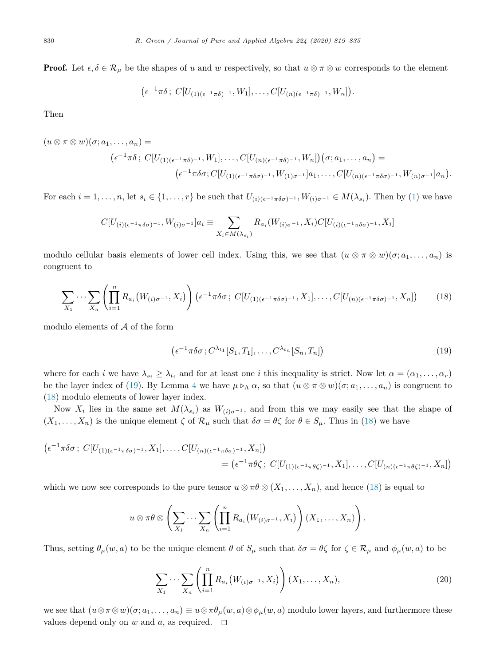**Proof.** Let  $\epsilon, \delta \in \mathcal{R}_{\mu}$  be the shapes of *u* and *w* respectively, so that  $u \otimes \pi \otimes w$  corresponds to the element

$$
(\epsilon^{-1}\pi\delta\,;\,C[U_{(1)(\epsilon^{-1}\pi\delta)^{-1}},W_1],\ldots,C[U_{(n)(\epsilon^{-1}\pi\delta)^{-1}},W_n]).
$$

Then

$$
(u\otimes \pi\otimes w)(\sigma;a_1,\ldots,a_n)=
$$
  

$$
(\epsilon^{-1}\pi\delta\,;\,C[U_{(1)(\epsilon^{-1}\pi\delta)^{-1}},W_1],\ldots,C[U_{(n)(\epsilon^{-1}\pi\delta)^{-1}},W_n])(\sigma;a_1,\ldots,a_n)=
$$
  

$$
(\epsilon^{-1}\pi\delta\sigma;C[U_{(1)(\epsilon^{-1}\pi\delta\sigma)^{-1}},W_{(1)\sigma^{-1}}]a_1,\ldots,C[U_{(n)(\epsilon^{-1}\pi\delta\sigma)^{-1}},W_{(n)\sigma^{-1}}]a_n).
$$

For each  $i = 1, \ldots, n$ , let  $s_i \in \{1, \ldots, r\}$  be such that  $U_{(i)(\epsilon^{-1} \pi \delta \sigma)^{-1}}$ ,  $W_{(i)\sigma^{-1}} \in M(\lambda_{s_i})$ . Then by (1) we have

$$
C[U_{(i)(\epsilon^{-1}\pi\delta\sigma)^{-1}},W_{(i)\sigma^{-1}}]a_i\equiv \sum_{X_i\in M(\lambda_{s_i})}R_{a_i}(W_{(i)\sigma^{-1}},X_i)C[U_{(i)(\epsilon^{-1}\pi\delta\sigma)^{-1}},X_i]
$$

modulo cellular basis elements of lower cell index. Using this, we see that  $(u \otimes \pi \otimes w)(\sigma; a_1, \ldots, a_n)$  is congruent to

$$
\sum_{X_1} \cdots \sum_{X_n} \left( \prod_{i=1}^n R_{a_i} \left( W_{(i)\sigma^{-1}}, X_i \right) \right) \left( \epsilon^{-1} \pi \delta \sigma \, ; \, C[U_{(1)(\epsilon^{-1} \pi \delta \sigma)^{-1}}, X_1], \ldots, C[U_{(n)(\epsilon^{-1} \pi \delta \sigma)^{-1}}, X_n] \right) \tag{18}
$$

modulo elements of  $A$  of the form

$$
\left(\epsilon^{-1}\pi\delta\sigma\,;C^{\lambda_{t_1}}[S_1,T_1],\ldots,C^{\lambda_{t_n}}[S_n,T_n]\right)
$$
\n
$$
(19)
$$

where for each *i* we have  $\lambda_{s_i} \geq \lambda_{t_i}$  and for at least one *i* this inequality is strict. Now let  $\alpha = (\alpha_1, \ldots, \alpha_r)$ be the layer index of (19). By Lemma 4 we have  $\mu \triangleright_{\Lambda} \alpha$ , so that  $(u \otimes \pi \otimes w)(\sigma; a_1, \ldots, a_n)$  is congruent to (18) modulo elements of lower layer index.

Now  $X_i$  lies in the same set  $M(\lambda_{s_i})$  as  $W_{(i)\sigma^{-1}}$ , and from this we may easily see that the shape of  $(X_1, \ldots, X_n)$  is the unique element  $\zeta$  of  $\mathcal{R}_\mu$  such that  $\delta \sigma = \theta \zeta$  for  $\theta \in S_\mu$ . Thus in (18) we have

$$
\begin{aligned} \left(\epsilon^{-1}\pi\delta\sigma\,;\ C[U_{(1)(\epsilon^{-1}\pi\delta\sigma)^{-1}},X_1],\ldots,C[U_{(n)(\epsilon^{-1}\pi\delta\sigma)^{-1}},X_n]\right) \\ &=\left(\epsilon^{-1}\pi\theta\zeta\,;\ C[U_{(1)(\epsilon^{-1}\pi\theta\zeta)^{-1}},X_1],\ldots,C[U_{(n)(\epsilon^{-1}\pi\theta\zeta)^{-1}},X_n]\right) \end{aligned}
$$

which we now see corresponds to the pure tensor  $u \otimes \pi \theta \otimes (X_1, \ldots, X_n)$ , and hence (18) is equal to

$$
u \otimes \pi \theta \otimes \left( \sum_{X_1} \cdots \sum_{X_n} \left( \prod_{i=1}^n R_{a_i} \left( W_{(i)\sigma^{-1}}, X_i \right) \right) (X_1, \ldots, X_n) \right).
$$

Thus, setting  $\theta_{\mu}(w, a)$  to be the unique element  $\theta$  of  $S_{\mu}$  such that  $\delta \sigma = \theta \zeta$  for  $\zeta \in \mathcal{R}_{\mu}$  and  $\phi_{\mu}(w, a)$  to be

$$
\sum_{X_1} \cdots \sum_{X_n} \left( \prod_{i=1}^n R_{a_i} \left( W_{(i)\sigma^{-1}}, X_i \right) \right) (X_1, \dots, X_n), \tag{20}
$$

we see that  $(u \otimes \pi \otimes w)(\sigma; a_1, \ldots, a_n) \equiv u \otimes \pi \theta_\mu(w, a) \otimes \phi_\mu(w, a)$  modulo lower layers, and furthermore these values depend only on  $w$  and  $a$ , as required.  $\Box$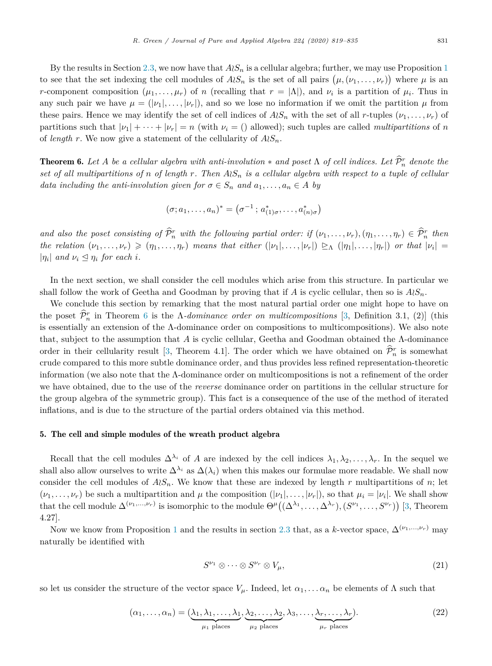By the results in Section 2.3, we now have that  $A \wr S_n$  is a cellular algebra; further, we may use Proposition 1 to see that the set indexing the cell modules of  $A \wr S_n$  is the set of all pairs  $(\mu, (\nu_1, \ldots, \nu_r))$  where  $\mu$  is an *r*-component composition  $(\mu_1, \ldots, \mu_r)$  of *n* (recalling that  $r = |\Lambda|$ ), and  $\nu_i$  is a partition of  $\mu_i$ . Thus in any such pair we have  $\mu = (|\nu_1|, \ldots, |\nu_r|)$ , and so we lose no information if we omit the partition  $\mu$  from these pairs. Hence we may identify the set of cell indices of  $A \wr S_n$  with the set of all *r*-tuples  $(\nu_1, \ldots, \nu_r)$  of partitions such that  $|\nu_1| + \cdots + |\nu_r| = n$  (with  $\nu_i = ()$  allowed); such tuples are called *multipartitions* of *n* of *length*  $r$ . We now give a statement of the cellularity of  $A \wr S_n$ .

**Theorem 6.** Let A be a cellular algebra with anti-involution  $*$  and poset  $\Lambda$  of cell indices. Let  $\mathcal{P}_n^r$  denote the set of all multipartitions of n of length r. Then  $A\wr S_n$  is a cellular algebra with respect to a tuple of cellular *data including the anti-involution given for*  $\sigma \in S_n$  *and*  $a_1, \ldots, a_n \in A$  *by* 

$$
(\sigma; a_1, \ldots, a_n)^* = (\sigma^{-1}; a^*_{(1)\sigma}, \ldots, a^*_{(n)\sigma})
$$

and also the poset consisting of  $\hat{P}_n^r$  with the following partial order: if  $(\nu_1,\ldots,\nu_r), (\eta_1,\ldots,\eta_r) \in \hat{P}_n^r$  then the relation  $(\nu_1,\ldots,\nu_r)\geq (\eta_1,\ldots,\eta_r)$  means that either  $(|\nu_1|,\ldots,|\nu_r|)\geq_{\Lambda} (|\eta_1|,\ldots,|\eta_r|)$  or that  $|\nu_i|=$ | $\eta_i$ | and  $\nu_i \leq \eta_i$  for each *i*.

In the next section, we shall consider the cell modules which arise from this structure. In particular we shall follow the work of Geetha and Goodman by proving that if *A* is cyclic cellular, then so is  $A \wr S_n$ .

We conclude this section by remarking that the most natural partial order one might hope to have on the poset  $\hat{\mathcal{P}}_n^r$  in Theorem 6 is the  $\Lambda$ -dominance order on multicompositions [3, Definition 3.1, (2)] (this is essentially an extension of the  $\Lambda$ -dominance order on compositions to multicompositions). We also note that, subject to the assumption that *A* is cyclic cellular, Geetha and Goodman obtained the Λ-dominance order in their cellularity result [3, Theorem 4.1]. The order which we have obtained on  $\hat{\mathcal{P}}_n^r$  is somewhat crude compared to this more subtle dominance order, and thus provides less refined representation-theoretic information (we also note that the Λ-dominance order on multicompositions is not a refinement of the order we have obtained, due to the use of the *reverse* dominance order on partitions in the cellular structure for the group algebra of the symmetric group). This fact is a consequence of the use of the method of iterated inflations, and is due to the structure of the partial orders obtained via this method.

#### 5. The cell and simple modules of the wreath product algebra

Recall that the cell modules  $\Delta^{\lambda_i}$  of *A* are indexed by the cell indices  $\lambda_1, \lambda_2, \ldots, \lambda_r$ . In the sequel we shall also allow ourselves to write  $\Delta^{\lambda_i}$  as  $\Delta(\lambda_i)$  when this makes our formulae more readable. We shall now consider the cell modules of  $A \wr S_n$ . We know that these are indexed by length *r* multipartitions of *n*; let  $(\nu_1, \ldots, \nu_r)$  be such a multipartition and  $\mu$  the composition  $(|\nu_1|, \ldots, |\nu_r|)$ , so that  $\mu_i = |\nu_i|$ . We shall show that the cell module  $\Delta^{(\nu_1,...,\nu_r)}$  is isomorphic to the module  $\Theta^{\mu}((\Delta^{\lambda_1},\ldots,\Delta^{\lambda_r}), (S^{\nu_1},\ldots,S^{\nu_r}))$  [3, Theorem 4.27].

Now we know from Proposition 1 and the results in section 2.3 that, as a *k*-vector space,  $\Delta^{(\nu_1,\dots,\nu_r)}$  may naturally be identified with

$$
S^{\nu_1} \otimes \cdots \otimes S^{\nu_r} \otimes V_{\mu}, \qquad (21)
$$

so let us consider the structure of the vector space  $V_\mu$ . Indeed, let  $\alpha_1, \ldots, \alpha_n$  be elements of  $\Lambda$  such that

$$
(\alpha_1, \ldots, \alpha_n) = (\underbrace{\lambda_1, \lambda_1, \ldots, \lambda_1}_{\mu_1 \text{ places}}, \underbrace{\lambda_2, \ldots, \lambda_2}_{\mu_2 \text{ places}}, \lambda_3, \ldots, \underbrace{\lambda_r, \ldots, \lambda_r}_{\mu_r \text{ places}}). \tag{22}
$$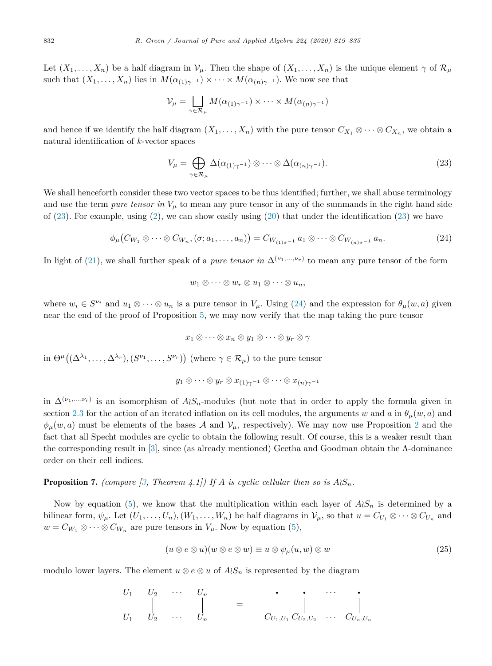Let  $(X_1, \ldots, X_n)$  be a half diagram in  $V_\mu$ . Then the shape of  $(X_1, \ldots, X_n)$  is the unique element  $\gamma$  of  $\mathcal{R}_\mu$ such that  $(X_1, \ldots, X_n)$  lies in  $M(\alpha_{(1)\gamma^{-1}}) \times \cdots \times M(\alpha_{(n)\gamma^{-1}})$ . We now see that

$$
\mathcal{V}_{\mu} = \bigsqcup_{\gamma \in \mathcal{R}_{\mu}} M(\alpha_{(1)\gamma^{-1}}) \times \cdots \times M(\alpha_{(n)\gamma^{-1}})
$$

and hence if we identify the half diagram  $(X_1, \ldots, X_n)$  with the pure tensor  $C_{X_1} \otimes \cdots \otimes C_{X_n}$ , we obtain a natural identification of *k*-vector spaces

$$
V_{\mu} = \bigoplus_{\gamma \in \mathcal{R}_{\mu}} \Delta(\alpha_{(1)\gamma^{-1}}) \otimes \cdots \otimes \Delta(\alpha_{(n)\gamma^{-1}}). \tag{23}
$$

We shall henceforth consider these two vector spaces to be thus identified; further, we shall abuse terminology and use the term *pure tensor* in  $V_\mu$  to mean any pure tensor in any of the summands in the right hand side of  $(23)$ . For example, using  $(2)$ , we can show easily using  $(20)$  that under the identification  $(23)$  we have

$$
\phi_{\mu}(C_{W_1} \otimes \cdots \otimes C_{W_n}, (\sigma; a_1, \ldots, a_n)) = C_{W_{(1)\sigma^{-1}}} a_1 \otimes \cdots \otimes C_{W_{(n)\sigma^{-1}}} a_n.
$$
\n(24)

In light of (21), we shall further speak of a *pure tensor* in  $\Delta^{(\nu_1,\dots,\nu_r)}$  to mean any pure tensor of the form

$$
w_1\otimes\cdots\otimes w_r\otimes u_1\otimes\cdots\otimes u_n,
$$

where  $w_i \in S^{\nu_i}$  and  $u_1 \otimes \cdots \otimes u_n$  is a pure tensor in  $V_\mu$ . Using (24) and the expression for  $\theta_\mu(w, a)$  given near the end of the proof of Proposition 5, we may now verify that the map taking the pure tensor

$$
x_1 \otimes \cdots \otimes x_n \otimes y_1 \otimes \cdots \otimes y_r \otimes \gamma
$$

in  $\Theta^{\mu}((\Delta^{\lambda_1}, \ldots, \Delta^{\lambda_r}), (S^{\nu_1}, \ldots, S^{\nu_r}))$  (where  $\gamma \in \mathcal{R}_{\mu}$ ) to the pure tensor

$$
y_1\otimes \cdots \otimes y_r\otimes x_{(1)\gamma^{-1}}\otimes \cdots \otimes x_{(n)\gamma^{-1}}
$$

in  $\Delta^{(\nu_1,\ldots,\nu_r)}$  is an isomorphism of  $A\wr S_n$ -modules (but note that in order to apply the formula given in section 2.3 for the action of an iterated inflation on its cell modules, the arguments *w* and *a* in  $\theta_\mu(w, a)$  and  $\phi_\mu(w, a)$  must be elements of the bases A and  $V_\mu$ , respectively). We may now use Proposition 2 and the fact that all Specht modules are cyclic to obtain the following result. Of course, this is a weaker result than the corresponding result in [3], since (as already mentioned) Geetha and Goodman obtain the Λ-dominance order on their cell indices.

**Proposition 7.** *(compare [3, Theorem 4.1])* If *A is cyclic cellular then so is*  $A \wr S_n$ *.* 

Now by equation (5), we know that the multiplication within each layer of  $A\wr S_n$  is determined by a bilinear form,  $\psi_{\mu}$ . Let  $(U_1,\ldots,U_n),(W_1,\ldots,W_n)$  be half diagrams in  $\mathcal{V}_{\mu}$ , so that  $u=C_{U_1}\otimes\cdots\otimes C_{U_n}$  and  $w = C_{W_1} \otimes \cdots \otimes C_{W_n}$  are pure tensors in  $V_\mu$ . Now by equation (5),

$$
(u \otimes e \otimes u)(w \otimes e \otimes w) \equiv u \otimes \psi_{\mu}(u, w) \otimes w \tag{25}
$$

modulo lower layers. The element  $u \otimes e \otimes u$  of  $A \wr S_n$  is represented by the diagram

$$
\begin{array}{ccccccccc}\nU_1 & U_2 & \cdots & U_n \\
\Big\vert & \Big\vert & & \Big\vert & & = & \begin{array}{c} & \cdot & \cdot & \cdot & \cdot \\
\cdot & \cdot & \cdot & \cdot & \cdot \\
U_1 & U_2 & \cdots & U_n & & & \end{array}\right\vert_{U_n} = & \begin{array}{c} & \cdot & \cdot & \cdot & \cdot \\
\cdot & \cdot & \cdot & \cdot & \cdot \\
U_{1, U_1} & \cdot & \cdot & \cdot & \cdot \\
U_{2, U_2} & \cdots & \cdot & \cdot & \cdot \\
U_{n, U_n} & \cdot & \cdot & \cdot & \cdot\n\end{array}
$$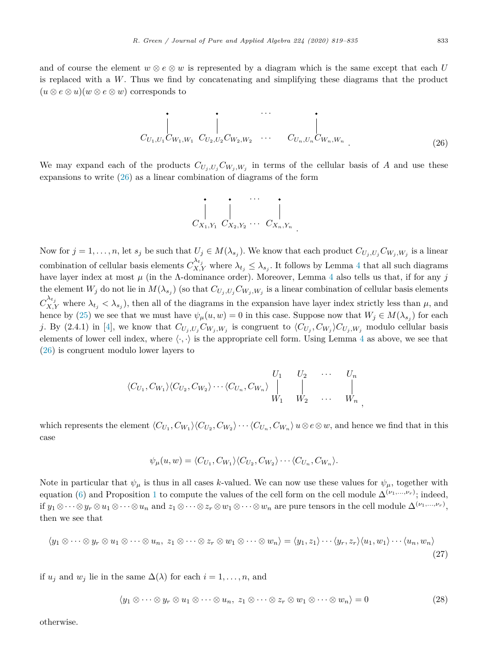and of course the element  $w \otimes e \otimes w$  is represented by a diagram which is the same except that each *U* is replaced with a *W*. Thus we find by concatenating and simplifying these diagrams that the product  $(u \otimes e \otimes u)(w \otimes e \otimes w)$  corresponds to

··· *<sup>C</sup><sup>U</sup>*1*,U*1*C<sup>W</sup>*1*,W*<sup>1</sup> *<sup>C</sup><sup>U</sup>*2*,U*2*C<sup>W</sup>*2*,W*<sup>2</sup> ··· *<sup>C</sup><sup>U</sup>n,U<sup>n</sup> <sup>C</sup><sup>W</sup>n,W<sup>n</sup> .* (26)

We may expand each of the products  $C_{U_i,U_i}C_{W_i,W_i}$  in terms of the cellular basis of *A* and use these expansions to write (26) as a linear combination of diagrams of the form

$$
\begin{array}{c|c}\n\cdot & \cdot & \cdot \\
\hline\nC_{X_1,Y_1} & C_{X_2,Y_2} & \cdots & C_{X_n,Y_n}\n\end{array}
$$

Now for  $j = 1, ..., n$ , let  $s_j$  be such that  $U_j \in M(\lambda_{s_j})$ . We know that each product  $C_{U_j, U_j} C_{W_j, W_j}$  is a linear combination of cellular basis elements  $C_{X,Y}^{\lambda t_j}$  where  $\lambda_{t_j} \leq \lambda_{s_j}$ . It follows by Lemma 4 that all such diagrams have layer index at most *μ* (in the Λ-dominance order). Moreover, Lemma 4 also tells us that, if for any *j* the element  $W_j$  do not lie in  $M(\lambda_{s_j})$  (so that  $C_{U_j, U_j} C_{W_j, W_j}$  is a linear combination of cellular basis elements  $C_{X,Y}^{\lambda t_j}$  where  $\lambda_{t_j} < \lambda_{s_j}$ , then all of the diagrams in the expansion have layer index strictly less than  $\mu$ , and hence by (25) we see that we must have  $\psi_{\mu}(u, w) = 0$  in this case. Suppose now that  $W_j \in M(\lambda_{s_j})$  for each j. By (2.4.1) in [4], we know that  $C_{U_j,U_j}C_{W_j,W_j}$  is congruent to  $\langle C_{U_j}, C_{W_j} \rangle C_{U_j,W_j}$  modulo cellular basis elements of lower cell index, where  $\langle \cdot, \cdot \rangle$  is the appropriate cell form. Using Lemma 4 as above, we see that (26) is congruent modulo lower layers to

$$
\langle C_{U_1}, C_{W_1} \rangle \langle C_{U_2}, C_{W_2} \rangle \cdots \langle C_{U_n}, C_{W_n} \rangle \begin{vmatrix} U_1 & U_2 & \cdots & U_n \\ \vdots & \vdots & \ddots & \vdots \\ W_1 & W_2 & \cdots & W_n \end{vmatrix},
$$

which represents the element  $\langle C_{U_1}, C_{W_1} \rangle \langle C_{U_2}, C_{W_2} \rangle \cdots \langle C_{U_n}, C_{W_n} \rangle$   $u \otimes e \otimes w$ , and hence we find that in this case

$$
\psi_{\mu}(u, w) = \langle C_{U_1}, C_{W_1} \rangle \langle C_{U_2}, C_{W_2} \rangle \cdots \langle C_{U_n}, C_{W_n} \rangle.
$$

Note in particular that  $\psi_{\mu}$  is thus in all cases *k*-valued. We can now use these values for  $\psi_{\mu}$ , together with equation (6) and Proposition 1 to compute the values of the cell form on the cell module  $\Delta^{(\nu_1,\ldots,\nu_r)}$ ; indeed,  $\text{if } y_1 \otimes \cdots \otimes y_r \otimes u_1 \otimes \cdots \otimes u_n \text{ and } z_1 \otimes \cdots \otimes z_r \otimes w_1 \otimes \cdots \otimes w_n \text{ are pure tensors in the cell module } \Delta^{(\nu_1, \ldots, \nu_r)},$ then we see that

$$
\langle y_1 \otimes \cdots \otimes y_r \otimes u_1 \otimes \cdots \otimes u_n, z_1 \otimes \cdots \otimes z_r \otimes w_1 \otimes \cdots \otimes w_n \rangle = \langle y_1, z_1 \rangle \cdots \langle y_r, z_r \rangle \langle u_1, w_1 \rangle \cdots \langle u_n, w_n \rangle
$$
\n(27)

if  $u_j$  and  $w_j$  lie in the same  $\Delta(\lambda)$  for each  $i = 1, \ldots, n$ , and

$$
\langle y_1 \otimes \cdots \otimes y_r \otimes u_1 \otimes \cdots \otimes u_n, z_1 \otimes \cdots \otimes z_r \otimes w_1 \otimes \cdots \otimes w_n \rangle = 0 \qquad (28)
$$

otherwise.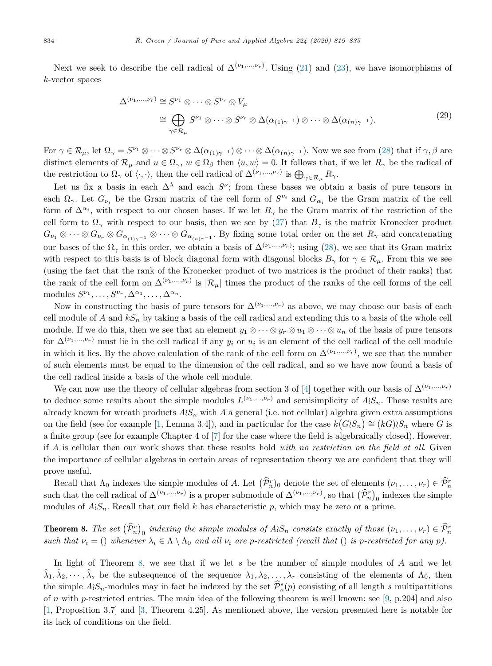Next we seek to describe the cell radical of  $\Delta^{(\nu_1,\ldots,\nu_r)}$ . Using (21) and (23), we have isomorphisms of *k*-vector spaces

$$
\Delta^{(\nu_1,\dots,\nu_r)} \cong S^{\nu_1} \otimes \dots \otimes S^{\nu_r} \otimes V_\mu
$$
  
\n
$$
\cong \bigoplus_{\gamma \in \mathcal{R}_\mu} S^{\nu_1} \otimes \dots \otimes S^{\nu_r} \otimes \Delta(\alpha_{(1)\gamma^{-1}}) \otimes \dots \otimes \Delta(\alpha_{(n)\gamma^{-1}}). \tag{29}
$$

For  $\gamma \in \mathcal{R}_{\mu}$ , let  $\Omega_{\gamma} = S^{\nu_1} \otimes \cdots \otimes S^{\nu_r} \otimes \Delta(\alpha_{(1)\gamma^{-1}}) \otimes \cdots \otimes \Delta(\alpha_{(n)\gamma^{-1}})$ . Now we see from (28) that if  $\gamma, \beta$  are distinct elements of  $\mathcal{R}_{\mu}$  and  $u \in \Omega_{\gamma}$ ,  $w \in \Omega_{\beta}$  then  $\langle u, w \rangle = 0$ . It follows that, if we let  $R_{\gamma}$  be the radical of the restriction to  $\Omega_{\gamma}$  of  $\langle \cdot, \cdot \rangle$ , then the cell radical of  $\Delta^{(\nu_1,...,\nu_r)}$  is  $\bigoplus_{\gamma \in \mathcal{R}_{\mu}} R_{\gamma}$ .

Let us fix a basis in each  $\Delta^{\lambda}$  and each  $S^{\nu}$ ; from these bases we obtain a basis of pure tensors in each  $\Omega_{\gamma}$ . Let  $G_{\nu}$  be the Gram matrix of the cell form of  $S^{\nu}$  and  $G_{\alpha}$  be the Gram matrix of the cell form of  $\Delta^{\alpha_i}$ , with respect to our chosen bases. If we let  $B_\gamma$  be the Gram matrix of the restriction of the cell form to  $\Omega_{\gamma}$  with respect to our basis, then we see by (27) that  $B_{\gamma}$  is the matrix Kronecker product  $G_{\nu_1} \otimes \cdots \otimes G_{\nu_r} \otimes G_{\alpha_{(1)\gamma^{-1}}} \otimes \cdots \otimes G_{\alpha_{(n)\gamma^{-1}}}$ . By fixing some total order on the set  $R_\gamma$  and concatenating our bases of the  $\Omega_{\gamma}$  in this order, we obtain a basis of  $\Delta^{(\nu_1,\ldots,\nu_r)}$ ; using (28), we see that its Gram matrix with respect to this basis is of block diagonal form with diagonal blocks  $B_\gamma$  for  $\gamma \in \mathcal{R}_\mu$ . From this we see (using the fact that the rank of the Kronecker product of two matrices is the product of their ranks) that the rank of the cell form on  $\Delta^{(\nu_1,\dots,\nu_r)}$  is  $|\mathcal{R}_\mu|$  times the product of the ranks of the cell forms of the cell modules  $S^{\nu_1}, \ldots, S^{\nu_r}, \Delta^{\alpha_1}, \ldots, \Delta^{\alpha_n}$ .

Now in constructing the basis of pure tensors for  $\Delta^{(\nu_1,\dots,\nu_r)}$  as above, we may choose our basis of each cell module of *A* and  $kS_n$  by taking a basis of the cell radical and extending this to a basis of the whole cell module. If we do this, then we see that an element  $y_1 \otimes \cdots \otimes y_r \otimes u_1 \otimes \cdots \otimes u_n$  of the basis of pure tensors for  $\Delta^{(\nu_1,\dots,\nu_r)}$  must lie in the cell radical if any  $y_i$  or  $u_i$  is an element of the cell radical of the cell module in which it lies. By the above calculation of the rank of the cell form on  $\Delta^{(\nu_1,\dots,\nu_r)}$ , we see that the number of such elements must be equal to the dimension of the cell radical, and so we have now found a basis of the cell radical inside a basis of the whole cell module.

We can now use the theory of cellular algebras from section 3 of [4] together with our basis of  $\Delta^{(\nu_1,\dots,\nu_r)}$ to deduce some results about the simple modules  $L^{(\nu_1,\ldots,\nu_r)}$  and semisimplicity of  $A \wr S_n$ . These results are already known for wreath products  $A \wr S_n$  with  $A$  a general (i.e. not cellular) algebra given extra assumptions on the field (see for example [1, Lemma 3.4]), and in particular for the case  $k(G \wr S_n) \cong (kG) \wr S_n$  where *G* is a finite group (see for example Chapter 4 of [7] for the case where the field is algebraically closed). However, if *A* is cellular then our work shows that these results hold *with no restriction on the field at all*. Given the importance of cellular algebras in certain areas of representation theory we are confident that they will prove useful.

Recall that  $\Lambda_0$  indexes the simple modules of *A*. Let  $(\hat{\mathcal{P}}_n^r)_0$  denote the set of elements  $(\nu_1, \ldots, \nu_r) \in \hat{\mathcal{P}}_n^r$ such that the cell radical of  $\Delta^{(\nu_1,\dots,\nu_r)}$  is a proper submodule of  $\Delta^{(\nu_1,\dots,\nu_r)}$ , so that  $(\widehat{P}_n^r)_0$  indexes the simple modules of  $A \wr S_n$ . Recall that our field *k* has characteristic *p*, which may be zero or a prime.

**Theorem 8.** The set  $(\hat{\mathcal{P}}_n^r)_0$  indexing the simple modules of  $A \wr S_n$  consists exactly of those  $(\nu_1, \ldots, \nu_r) \in \hat{\mathcal{P}}_n^r$ such that  $\nu_i = ()$  whenever  $\lambda_i \in \Lambda \setminus \Lambda_0$  and all  $\nu_i$  are p-restricted (recall that () is p-restricted for any p).

In light of Theorem 8, we see that if we let *s* be the number of simple modules of *A* and we let  $\lambda_1, \lambda_2, \dots, \lambda_s$  be the subsequence of the sequence  $\lambda_1, \lambda_2, \dots, \lambda_r$  consisting of the elements of  $\Lambda_0$ , then the simple  $A \wr S_n$ -modules may in fact be indexed by the set  $\widehat{P}_n^s(p)$  consisting of all length *s* multipartitions of *n* with *p*-restricted entries. The main idea of the following theorem is well known: see [9, p.204] and also [1, Proposition 3.7] and [3, Theorem 4.25]. As mentioned above, the version presented here is notable for its lack of conditions on the field.